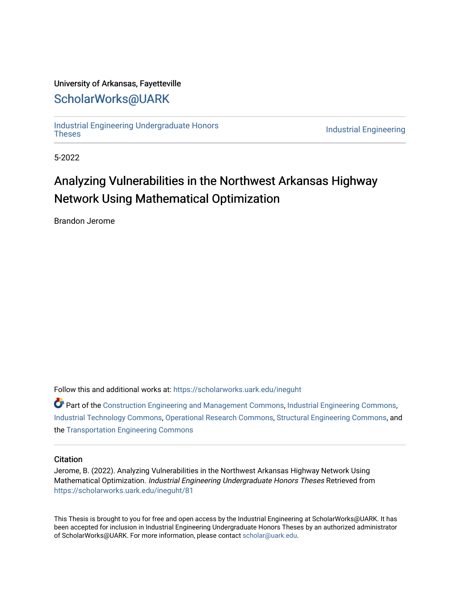### University of Arkansas, Fayetteville

# [ScholarWorks@UARK](https://scholarworks.uark.edu/)

[Industrial Engineering Undergraduate Honors](https://scholarworks.uark.edu/ineguht)

**Industrial Engineering** 

5-2022

# Analyzing Vulnerabilities in the Northwest Arkansas Highway Network Using Mathematical Optimization

Brandon Jerome

Follow this and additional works at: [https://scholarworks.uark.edu/ineguht](https://scholarworks.uark.edu/ineguht?utm_source=scholarworks.uark.edu%2Fineguht%2F81&utm_medium=PDF&utm_campaign=PDFCoverPages)

 $\bullet$  Part of the [Construction Engineering and Management Commons](http://network.bepress.com/hgg/discipline/253?utm_source=scholarworks.uark.edu%2Fineguht%2F81&utm_medium=PDF&utm_campaign=PDFCoverPages), [Industrial Engineering Commons,](http://network.bepress.com/hgg/discipline/307?utm_source=scholarworks.uark.edu%2Fineguht%2F81&utm_medium=PDF&utm_campaign=PDFCoverPages) [Industrial Technology Commons,](http://network.bepress.com/hgg/discipline/1062?utm_source=scholarworks.uark.edu%2Fineguht%2F81&utm_medium=PDF&utm_campaign=PDFCoverPages) [Operational Research Commons,](http://network.bepress.com/hgg/discipline/308?utm_source=scholarworks.uark.edu%2Fineguht%2F81&utm_medium=PDF&utm_campaign=PDFCoverPages) [Structural Engineering Commons,](http://network.bepress.com/hgg/discipline/256?utm_source=scholarworks.uark.edu%2Fineguht%2F81&utm_medium=PDF&utm_campaign=PDFCoverPages) and the [Transportation Engineering Commons](http://network.bepress.com/hgg/discipline/1329?utm_source=scholarworks.uark.edu%2Fineguht%2F81&utm_medium=PDF&utm_campaign=PDFCoverPages)

#### **Citation**

Jerome, B. (2022). Analyzing Vulnerabilities in the Northwest Arkansas Highway Network Using Mathematical Optimization. Industrial Engineering Undergraduate Honors Theses Retrieved from [https://scholarworks.uark.edu/ineguht/81](https://scholarworks.uark.edu/ineguht/81?utm_source=scholarworks.uark.edu%2Fineguht%2F81&utm_medium=PDF&utm_campaign=PDFCoverPages) 

This Thesis is brought to you for free and open access by the Industrial Engineering at ScholarWorks@UARK. It has been accepted for inclusion in Industrial Engineering Undergraduate Honors Theses by an authorized administrator of ScholarWorks@UARK. For more information, please contact [scholar@uark.edu.](mailto:scholar@uark.edu)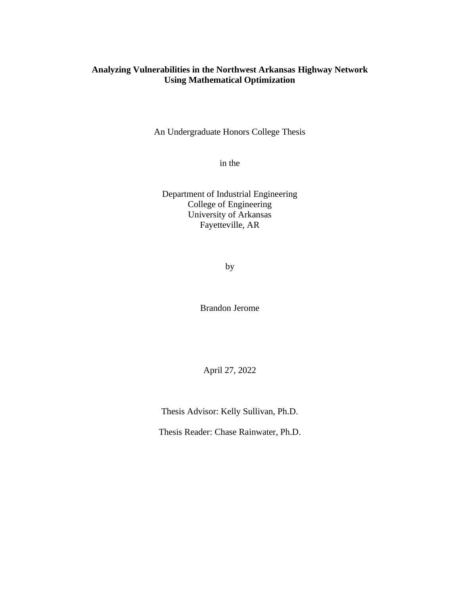### **Analyzing Vulnerabilities in the Northwest Arkansas Highway Network Using Mathematical Optimization**

An Undergraduate Honors College Thesis

in the

Department of Industrial Engineering College of Engineering University of Arkansas Fayetteville, AR

by

Brandon Jerome

April 27, 2022

Thesis Advisor: Kelly Sullivan, Ph.D.

Thesis Reader: Chase Rainwater, Ph.D.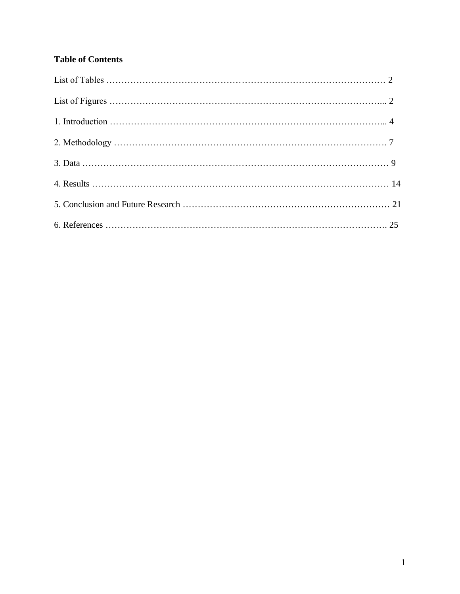## **Table of Contents**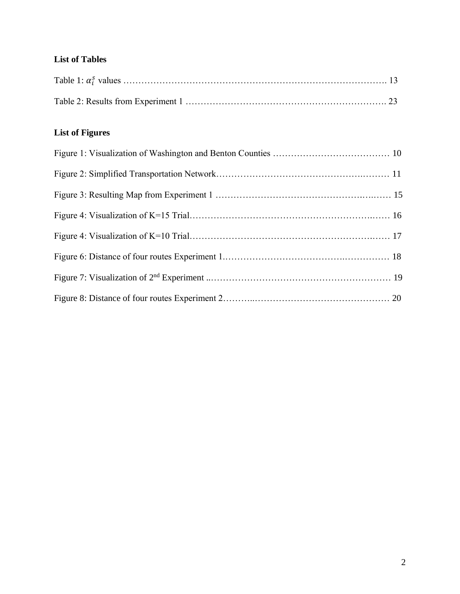### **List of Tables**

# **List of Figures**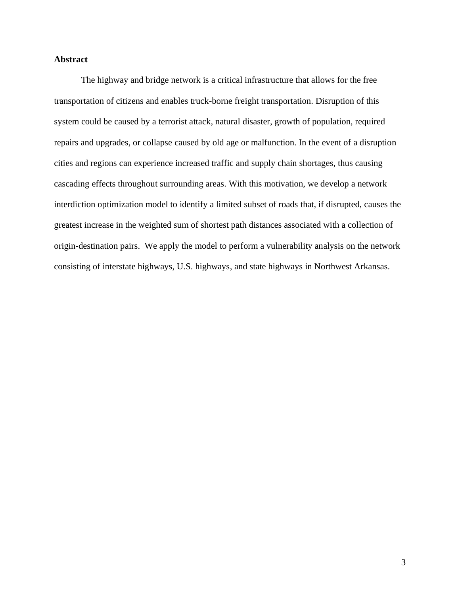### **Abstract**

The highway and bridge network is a critical infrastructure that allows for the free transportation of citizens and enables truck-borne freight transportation. Disruption of this system could be caused by a terrorist attack, natural disaster, growth of population, required repairs and upgrades, or collapse caused by old age or malfunction. In the event of a disruption cities and regions can experience increased traffic and supply chain shortages, thus causing cascading effects throughout surrounding areas. With this motivation, we develop a network interdiction optimization model to identify a limited subset of roads that, if disrupted, causes the greatest increase in the weighted sum of shortest path distances associated with a collection of origin-destination pairs. We apply the model to perform a vulnerability analysis on the network consisting of interstate highways, U.S. highways, and state highways in Northwest Arkansas.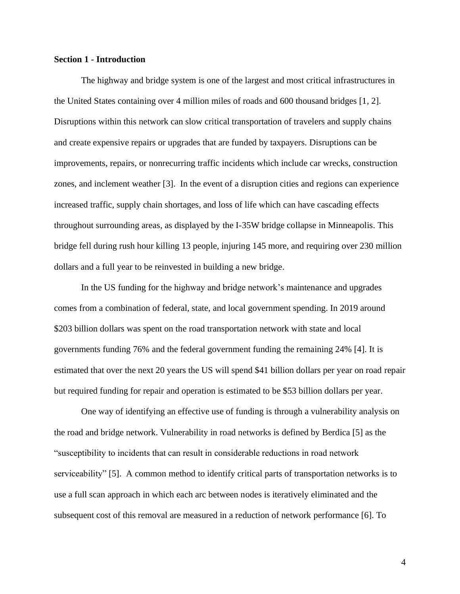#### **Section 1 - Introduction**

The highway and bridge system is one of the largest and most critical infrastructures in the United States containing over 4 million miles of roads and 600 thousand bridges [1, 2]. Disruptions within this network can slow critical transportation of travelers and supply chains and create expensive repairs or upgrades that are funded by taxpayers. Disruptions can be improvements, repairs, or nonrecurring traffic incidents which include car wrecks, construction zones, and inclement weather [3]. In the event of a disruption cities and regions can experience increased traffic, supply chain shortages, and loss of life which can have cascading effects throughout surrounding areas, as displayed by the I-35W bridge collapse in Minneapolis. This bridge fell during rush hour killing 13 people, injuring 145 more, and requiring over 230 million dollars and a full year to be reinvested in building a new bridge.

In the US funding for the highway and bridge network's maintenance and upgrades comes from a combination of federal, state, and local government spending. In 2019 around \$203 billion dollars was spent on the road transportation network with state and local governments funding 76% and the federal government funding the remaining 24% [4]. It is estimated that over the next 20 years the US will spend \$41 billion dollars per year on road repair but required funding for repair and operation is estimated to be \$53 billion dollars per year.

One way of identifying an effective use of funding is through a vulnerability analysis on the road and bridge network. Vulnerability in road networks is defined by Berdica [5] as the "susceptibility to incidents that can result in considerable reductions in road network serviceability" [5]. A common method to identify critical parts of transportation networks is to use a full scan approach in which each arc between nodes is iteratively eliminated and the subsequent cost of this removal are measured in a reduction of network performance [6]. To

4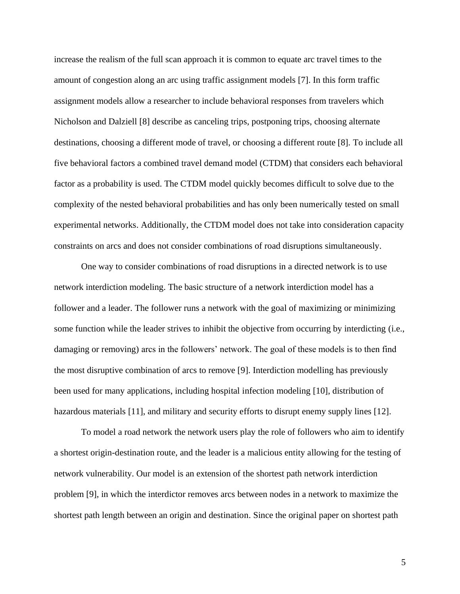increase the realism of the full scan approach it is common to equate arc travel times to the amount of congestion along an arc using traffic assignment models [7]. In this form traffic assignment models allow a researcher to include behavioral responses from travelers which Nicholson and Dalziell [8] describe as canceling trips, postponing trips, choosing alternate destinations, choosing a different mode of travel, or choosing a different route [8]. To include all five behavioral factors a combined travel demand model (CTDM) that considers each behavioral factor as a probability is used. The CTDM model quickly becomes difficult to solve due to the complexity of the nested behavioral probabilities and has only been numerically tested on small experimental networks. Additionally, the CTDM model does not take into consideration capacity constraints on arcs and does not consider combinations of road disruptions simultaneously.

One way to consider combinations of road disruptions in a directed network is to use network interdiction modeling. The basic structure of a network interdiction model has a follower and a leader. The follower runs a network with the goal of maximizing or minimizing some function while the leader strives to inhibit the objective from occurring by interdicting (i.e., damaging or removing) arcs in the followers' network. The goal of these models is to then find the most disruptive combination of arcs to remove [9]. Interdiction modelling has previously been used for many applications, including hospital infection modeling [10], distribution of hazardous materials [11], and military and security efforts to disrupt enemy supply lines [12].

To model a road network the network users play the role of followers who aim to identify a shortest origin-destination route, and the leader is a malicious entity allowing for the testing of network vulnerability. Our model is an extension of the shortest path network interdiction problem [9], in which the interdictor removes arcs between nodes in a network to maximize the shortest path length between an origin and destination. Since the original paper on shortest path

5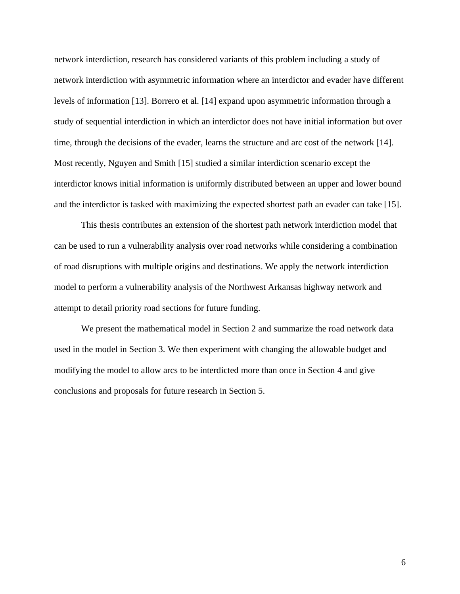network interdiction, research has considered variants of this problem including a study of network interdiction with asymmetric information where an interdictor and evader have different levels of information [13]. Borrero et al. [14] expand upon asymmetric information through a study of sequential interdiction in which an interdictor does not have initial information but over time, through the decisions of the evader, learns the structure and arc cost of the network [14]. Most recently, Nguyen and Smith [15] studied a similar interdiction scenario except the interdictor knows initial information is uniformly distributed between an upper and lower bound and the interdictor is tasked with maximizing the expected shortest path an evader can take [15].

This thesis contributes an extension of the shortest path network interdiction model that can be used to run a vulnerability analysis over road networks while considering a combination of road disruptions with multiple origins and destinations. We apply the network interdiction model to perform a vulnerability analysis of the Northwest Arkansas highway network and attempt to detail priority road sections for future funding.

We present the mathematical model in Section 2 and summarize the road network data used in the model in Section 3. We then experiment with changing the allowable budget and modifying the model to allow arcs to be interdicted more than once in Section 4 and give conclusions and proposals for future research in Section 5.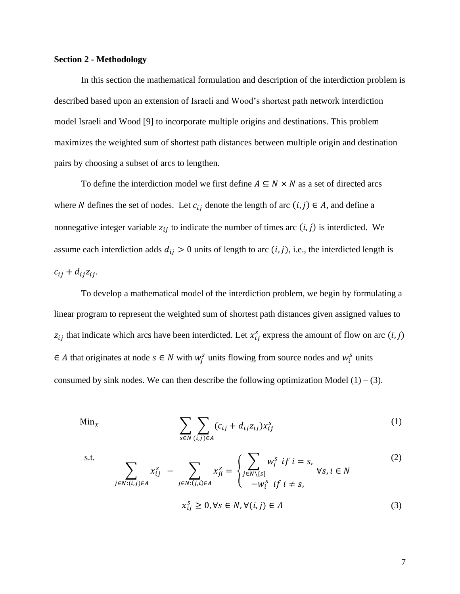#### **Section 2 - Methodology**

In this section the mathematical formulation and description of the interdiction problem is described based upon an extension of Israeli and Wood's shortest path network interdiction model Israeli and Wood [9] to incorporate multiple origins and destinations. This problem maximizes the weighted sum of shortest path distances between multiple origin and destination pairs by choosing a subset of arcs to lengthen.

To define the interdiction model we first define  $A \subseteq N \times N$  as a set of directed arcs where N defines the set of nodes. Let  $c_{ij}$  denote the length of arc  $(i, j) \in A$ , and define a nonnegative integer variable  $z_{ij}$  to indicate the number of times arc  $(i, j)$  is interdicted. We assume each interdiction adds  $d_{ij} > 0$  units of length to arc  $(i, j)$ , i.e., the interdicted length is  $c_{ii} + d_{ii}z_{ii}$ .

To develop a mathematical model of the interdiction problem, we begin by formulating a linear program to represent the weighted sum of shortest path distances given assigned values to  $z_{ij}$  that indicate which arcs have been interdicted. Let  $x_{ij}^s$  express the amount of flow on arc  $(i, j)$  $\in$  A that originates at node  $s \in N$  with  $w_j^s$  units flowing from source nodes and  $w_i^s$  units consumed by sink nodes. We can then describe the following optimization Model  $(1) - (3)$ .

$$
\lim_{x} \sum_{s \in N} \sum_{(i,j) \in A} (c_{ij} + d_{ij} z_{ij}) x_{ij}^{s}
$$
 (1)

s.t.

$$
\sum_{j \in N: (i,j) \in A} x_{ij}^s - \sum_{j \in N: (j,i) \in A} x_{ji}^s = \begin{cases} \sum_{j \in N \setminus \{s\}} w_j^s & \text{if } i = s, \\ -w_i^s & \text{if } i \neq s, \end{cases} \forall s, i \in N
$$
\n
$$
x_{ij}^s \ge 0, \forall s \in N, \forall (i,j) \in A
$$
\n(3)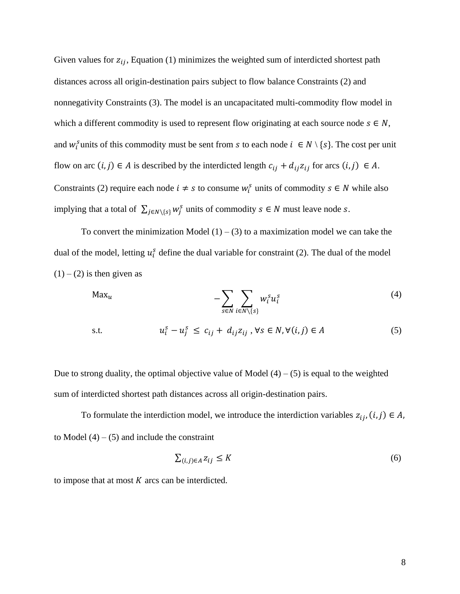Given values for  $z_{ij}$ , Equation (1) minimizes the weighted sum of interdicted shortest path distances across all origin-destination pairs subject to flow balance Constraints (2) and nonnegativity Constraints (3). The model is an uncapacitated multi-commodity flow model in which a different commodity is used to represent flow originating at each source node  $s \in N$ , and  $w_i^s$  units of this commodity must be sent from s to each node  $i \in N \setminus \{s\}$ . The cost per unit flow on arc  $(i, j) \in A$  is described by the interdicted length  $c_{ij} + d_{ij}z_{ij}$  for arcs  $(i, j) \in A$ . Constraints (2) require each node  $i \neq s$  to consume  $w_i^s$  units of commodity  $s \in N$  while also implying that a total of  $\sum_{j \in N \setminus \{s\}} w_j^s$  units of commodity  $s \in N$  must leave node s.

To convert the minimization Model  $(1) - (3)$  to a maximization model we can take the dual of the model, letting  $u_i^s$  define the dual variable for constraint (2). The dual of the model  $(1) - (2)$  is then given as

$$
\mathsf{Max}_u \qquad -\sum_{s \in N} \sum_{i \in N \setminus \{s\}} w_i^s u_i^s \tag{4}
$$

s.t. 
$$
u_i^s - u_j^s \leq c_{ij} + d_{ij}z_{ij}, \forall s \in N, \forall (i, j) \in A
$$
 (5)

Due to strong duality, the optimal objective value of Model  $(4) - (5)$  is equal to the weighted sum of interdicted shortest path distances across all origin-destination pairs.

To formulate the interdiction model, we introduce the interdiction variables  $z_{ij}$ ,  $(i, j) \in A$ , to Model  $(4) - (5)$  and include the constraint

$$
\sum_{(i,j)\in A} z_{ij} \le K \tag{6}
$$

to impose that at most  $K$  arcs can be interdicted.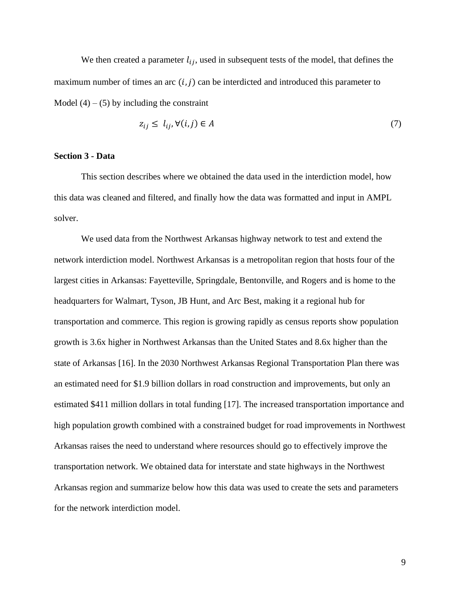We then created a parameter  $l_{ij}$ , used in subsequent tests of the model, that defines the maximum number of times an arc  $(i, j)$  can be interdicted and introduced this parameter to Model  $(4) - (5)$  by including the constraint

$$
z_{ij} \le l_{ij}, \forall (i,j) \in A \tag{7}
$$

#### **Section 3 - Data**

This section describes where we obtained the data used in the interdiction model, how this data was cleaned and filtered, and finally how the data was formatted and input in AMPL solver.

We used data from the Northwest Arkansas highway network to test and extend the network interdiction model. Northwest Arkansas is a metropolitan region that hosts four of the largest cities in Arkansas: Fayetteville, Springdale, Bentonville, and Rogers and is home to the headquarters for Walmart, Tyson, JB Hunt, and Arc Best, making it a regional hub for transportation and commerce. This region is growing rapidly as census reports show population growth is 3.6x higher in Northwest Arkansas than the United States and 8.6x higher than the state of Arkansas [16]. In the 2030 Northwest Arkansas Regional Transportation Plan there was an estimated need for \$1.9 billion dollars in road construction and improvements, but only an estimated \$411 million dollars in total funding [17]. The increased transportation importance and high population growth combined with a constrained budget for road improvements in Northwest Arkansas raises the need to understand where resources should go to effectively improve the transportation network. We obtained data for interstate and state highways in the Northwest Arkansas region and summarize below how this data was used to create the sets and parameters for the network interdiction model.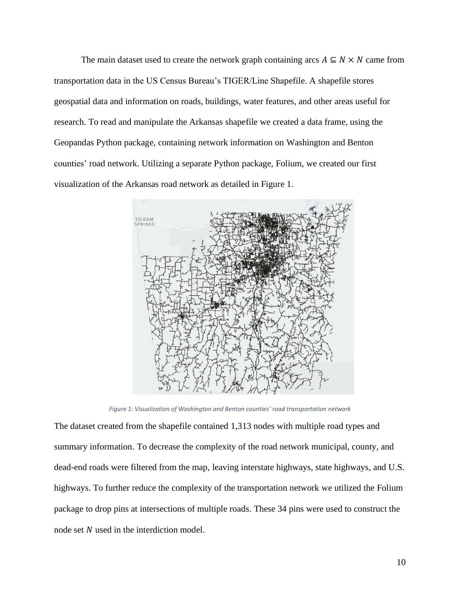The main dataset used to create the network graph containing arcs  $A \subseteq N \times N$  came from transportation data in the US Census Bureau's TIGER/Line Shapefile. A shapefile stores geospatial data and information on roads, buildings, water features, and other areas useful for research. To read and manipulate the Arkansas shapefile we created a data frame, using the Geopandas Python package, containing network information on Washington and Benton counties' road network. Utilizing a separate Python package, Folium, we created our first visualization of the Arkansas road network as detailed in Figure 1.



*Figure 1: Visualization of Washington and Benton counties' road transportation network*

The dataset created from the shapefile contained 1,313 nodes with multiple road types and summary information. To decrease the complexity of the road network municipal, county, and dead-end roads were filtered from the map, leaving interstate highways, state highways, and U.S. highways. To further reduce the complexity of the transportation network we utilized the Folium package to drop pins at intersections of multiple roads. These 34 pins were used to construct the node set  $N$  used in the interdiction model.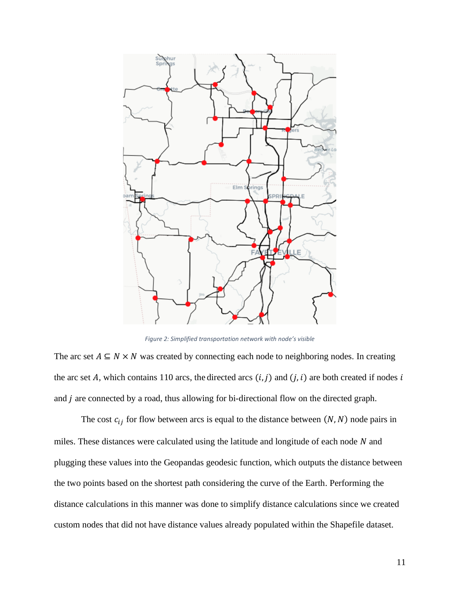

*Figure 2: Simplified transportation network with node's visible*

The arc set  $A \subseteq N \times N$  was created by connecting each node to neighboring nodes. In creating the arc set A, which contains 110 arcs, the directed arcs  $(i, j)$  and  $(j, i)$  are both created if nodes i and  $j$  are connected by a road, thus allowing for bi-directional flow on the directed graph.

The cost  $c_{ij}$  for flow between arcs is equal to the distance between  $(N, N)$  node pairs in miles. These distances were calculated using the latitude and longitude of each node  $N$  and plugging these values into the Geopandas geodesic function, which outputs the distance between the two points based on the shortest path considering the curve of the Earth. Performing the distance calculations in this manner was done to simplify distance calculations since we created custom nodes that did not have distance values already populated within the Shapefile dataset.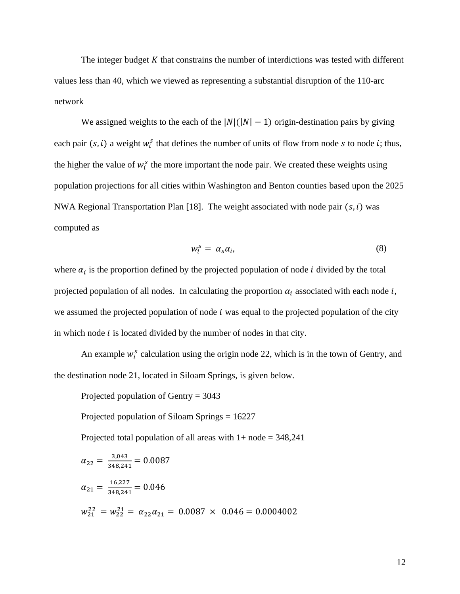The integer budget  $K$  that constrains the number of interdictions was tested with different values less than 40, which we viewed as representing a substantial disruption of the 110-arc network

We assigned weights to the each of the  $|N|(|N|-1)$  origin-destination pairs by giving each pair  $(s, i)$  a weight  $w_i^s$  that defines the number of units of flow from node s to node i; thus, the higher the value of  $w_i^s$  the more important the node pair. We created these weights using population projections for all cities within Washington and Benton counties based upon the 2025 NWA Regional Transportation Plan [18]. The weight associated with node pair  $(s, i)$  was computed as

$$
w_i^s = \alpha_s \alpha_i, \tag{8}
$$

where  $\alpha_i$  is the proportion defined by the projected population of node *i* divided by the total projected population of all nodes. In calculating the proportion  $\alpha_i$  associated with each node i, we assumed the projected population of node  $i$  was equal to the projected population of the city in which node  $i$  is located divided by the number of nodes in that city.

An example  $w_i^s$  calculation using the origin node 22, which is in the town of Gentry, and the destination node 21, located in Siloam Springs, is given below.

Projected population of Gentry = 3043

Projected population of Siloam Springs = 16227

Projected total population of all areas with  $1+$  node = 348,241

$$
\alpha_{22} = \frac{3,043}{348,241} = 0.0087
$$
\n
$$
\alpha_{21} = \frac{16,227}{348,241} = 0.046
$$
\n
$$
w_{21}^{22} = w_{22}^{21} = \alpha_{22}\alpha_{21} = 0.0087 \times 0.046 = 0.0004002
$$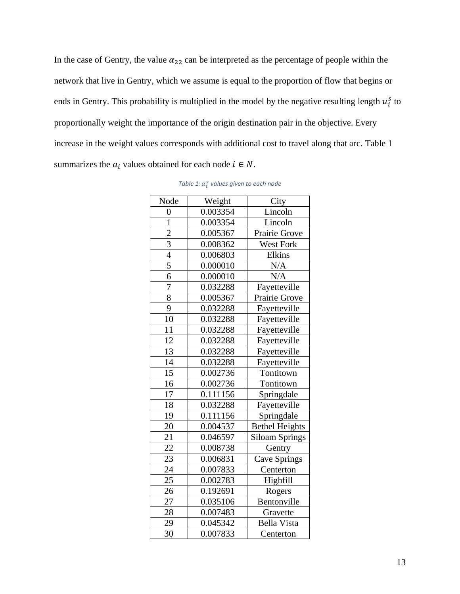In the case of Gentry, the value  $\alpha_{22}$  can be interpreted as the percentage of people within the network that live in Gentry, which we assume is equal to the proportion of flow that begins or ends in Gentry. This probability is multiplied in the model by the negative resulting length  $u_i^s$  to proportionally weight the importance of the origin destination pair in the objective. Every increase in the weight values corresponds with additional cost to travel along that arc. Table 1 summarizes the  $a_i$  values obtained for each node  $i \in N$ .

| Node            | Weight   | City                  |  |
|-----------------|----------|-----------------------|--|
| 0               | 0.003354 | Lincoln               |  |
| $\overline{1}$  | 0.003354 | Lincoln               |  |
| $\overline{c}$  | 0.005367 | Prairie Grove         |  |
| $\overline{3}$  | 0.008362 | West Fork             |  |
| $\overline{4}$  | 0.006803 | Elkins                |  |
| $\overline{5}$  | 0.000010 | N/A                   |  |
| 6               | 0.000010 | N/A                   |  |
| 7               | 0.032288 | Fayetteville          |  |
| $\overline{8}$  | 0.005367 | Prairie Grove         |  |
| 9               | 0.032288 | Fayetteville          |  |
| 10              | 0.032288 | Fayetteville          |  |
| 11              | 0.032288 | Fayetteville          |  |
| 12              | 0.032288 | Fayetteville          |  |
| 13              | 0.032288 | Fayetteville          |  |
| $\overline{14}$ | 0.032288 | Fayetteville          |  |
| 15              | 0.002736 | Tontitown             |  |
| 16              | 0.002736 | Tontitown             |  |
| 17              | 0.111156 | Springdale            |  |
| 18              | 0.032288 | Fayetteville          |  |
| 19              | 0.111156 | Springdale            |  |
| 20              | 0.004537 | <b>Bethel Heights</b> |  |
| 21              | 0.046597 | <b>Siloam Springs</b> |  |
| 22              | 0.008738 | Gentry                |  |
| 23              | 0.006831 | <b>Cave Springs</b>   |  |
| 24              | 0.007833 | Centerton             |  |
| 25              | 0.002783 | Highfill              |  |
| 26              | 0.192691 | Rogers                |  |
| 27              | 0.035106 | Bentonville           |  |
| 28              | 0.007483 | Gravette              |  |
| 29              | 0.045342 | <b>Bella Vista</b>    |  |
| 30              | 0.007833 | Centerton             |  |

Table 1:  $\alpha_i^s$  values given to each node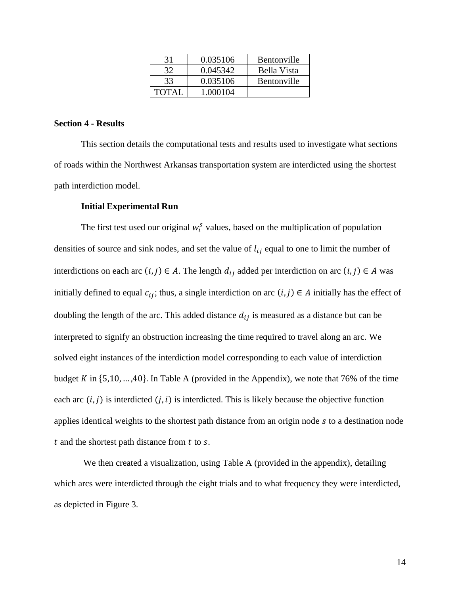| 31           | 0.035106 | <b>Bentonville</b> |
|--------------|----------|--------------------|
| 32           | 0.045342 | Bella Vista        |
| 33           | 0.035106 | <b>Bentonville</b> |
| <b>TOTAI</b> | 1.000104 |                    |

### **Section 4 - Results**

This section details the computational tests and results used to investigate what sections of roads within the Northwest Arkansas transportation system are interdicted using the shortest path interdiction model.

#### **Initial Experimental Run**

The first test used our original  $w_i^s$  values, based on the multiplication of population densities of source and sink nodes, and set the value of  $l_{ij}$  equal to one to limit the number of interdictions on each arc  $(i, j) \in A$ . The length  $d_{ij}$  added per interdiction on arc  $(i, j) \in A$  was initially defined to equal  $c_{ij}$ ; thus, a single interdiction on arc  $(i, j) \in A$  initially has the effect of doubling the length of the arc. This added distance  $d_{ij}$  is measured as a distance but can be interpreted to signify an obstruction increasing the time required to travel along an arc. We solved eight instances of the interdiction model corresponding to each value of interdiction budget K in  $\{5,10,\ldots,40\}$ . In Table A (provided in the Appendix), we note that 76% of the time each arc  $(i, j)$  is interdicted  $(j, i)$  is interdicted. This is likely because the objective function applies identical weights to the shortest path distance from an origin node  $s$  to a destination node  $t$  and the shortest path distance from  $t$  to  $s$ .

We then created a visualization, using Table A (provided in the appendix), detailing which arcs were interdicted through the eight trials and to what frequency they were interdicted, as depicted in Figure 3.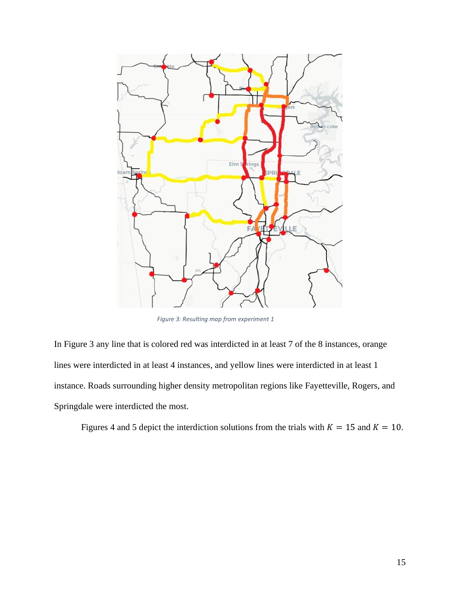

*Figure 3: Resulting map from experiment 1*

In Figure 3 any line that is colored red was interdicted in at least 7 of the 8 instances, orange lines were interdicted in at least 4 instances, and yellow lines were interdicted in at least 1 instance. Roads surrounding higher density metropolitan regions like Fayetteville, Rogers, and Springdale were interdicted the most.

Figures 4 and 5 depict the interdiction solutions from the trials with  $K = 15$  and  $K = 10$ .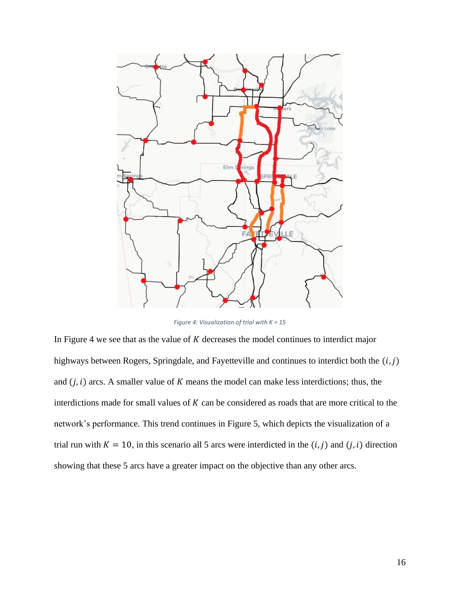

*Figure 4: Visualization of trial with K = 15*

In Figure 4 we see that as the value of  $K$  decreases the model continues to interdict major highways between Rogers, Springdale, and Fayetteville and continues to interdict both the  $(i, j)$ and  $(j, i)$  arcs. A smaller value of K means the model can make less interdictions; thus, the interdictions made for small values of  $K$  can be considered as roads that are more critical to the network's performance. This trend continues in Figure 5, which depicts the visualization of a trial run with  $K = 10$ , in this scenario all 5 arcs were interdicted in the  $(i, j)$  and  $(j, i)$  direction showing that these 5 arcs have a greater impact on the objective than any other arcs.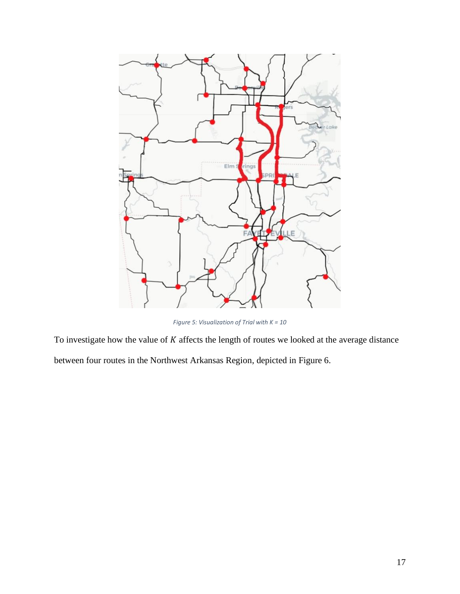

*Figure 5: Visualization of Trial with K = 10*

To investigate how the value of  $K$  affects the length of routes we looked at the average distance

between four routes in the Northwest Arkansas Region, depicted in Figure 6.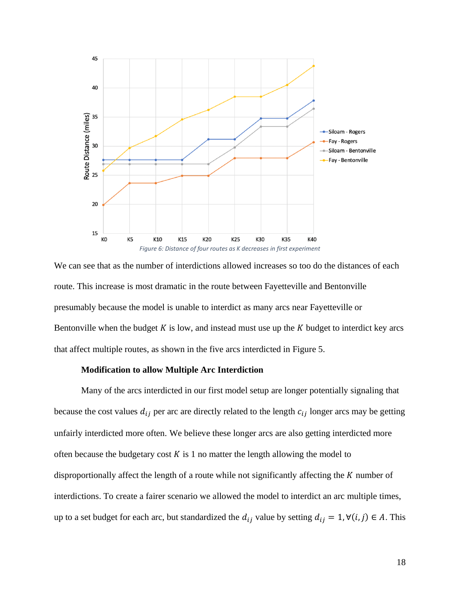

We can see that as the number of interdictions allowed increases so too do the distances of each route. This increase is most dramatic in the route between Fayetteville and Bentonville presumably because the model is unable to interdict as many arcs near Fayetteville or Bentonville when the budget  $K$  is low, and instead must use up the  $K$  budget to interdict key arcs that affect multiple routes, as shown in the five arcs interdicted in Figure 5.

#### **Modification to allow Multiple Arc Interdiction**

Many of the arcs interdicted in our first model setup are longer potentially signaling that because the cost values  $d_{ij}$  per arc are directly related to the length  $c_{ij}$  longer arcs may be getting unfairly interdicted more often. We believe these longer arcs are also getting interdicted more often because the budgetary cost  $K$  is 1 no matter the length allowing the model to disproportionally affect the length of a route while not significantly affecting the  $K$  number of interdictions. To create a fairer scenario we allowed the model to interdict an arc multiple times, up to a set budget for each arc, but standardized the  $d_{ij}$  value by setting  $d_{ij} = 1, \forall (i, j) \in A$ . This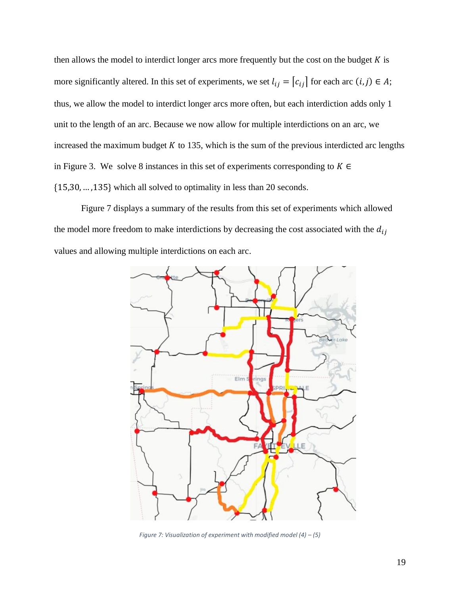then allows the model to interdict longer arcs more frequently but the cost on the budget  $K$  is more significantly altered. In this set of experiments, we set  $l_{ij} = [c_{ij}]$  for each arc  $(i, j) \in A$ ; thus, we allow the model to interdict longer arcs more often, but each interdiction adds only 1 unit to the length of an arc. Because we now allow for multiple interdictions on an arc, we increased the maximum budget  $K$  to 135, which is the sum of the previous interdicted arc lengths in Figure 3. We solve 8 instances in this set of experiments corresponding to  $K \in$ {15,30,… ,135} which all solved to optimality in less than 20 seconds.

Figure 7 displays a summary of the results from this set of experiments which allowed the model more freedom to make interdictions by decreasing the cost associated with the  $d_{ij}$ values and allowing multiple interdictions on each arc.



*Figure 7: Visualization of experiment with modified model (4) – (5)*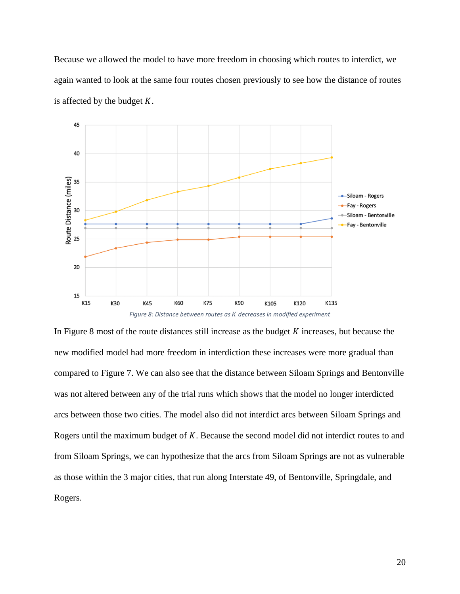Because we allowed the model to have more freedom in choosing which routes to interdict, we again wanted to look at the same four routes chosen previously to see how the distance of routes is affected by the budget  $K$ .



In Figure 8 most of the route distances still increase as the budget  $K$  increases, but because the new modified model had more freedom in interdiction these increases were more gradual than compared to Figure 7. We can also see that the distance between Siloam Springs and Bentonville was not altered between any of the trial runs which shows that the model no longer interdicted arcs between those two cities. The model also did not interdict arcs between Siloam Springs and Rogers until the maximum budget of  $K$ . Because the second model did not interdict routes to and from Siloam Springs, we can hypothesize that the arcs from Siloam Springs are not as vulnerable as those within the 3 major cities, that run along Interstate 49, of Bentonville, Springdale, and Rogers.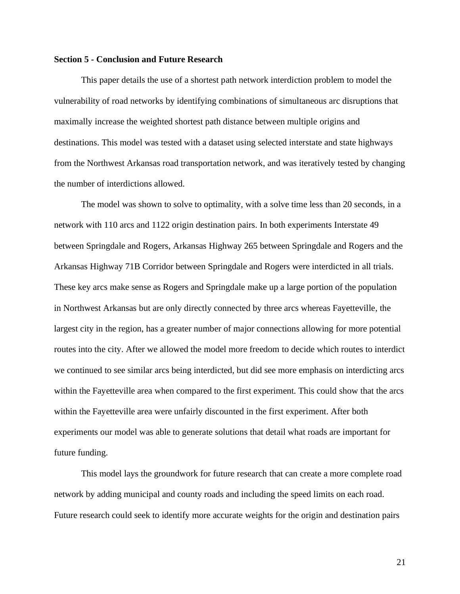#### **Section 5 - Conclusion and Future Research**

This paper details the use of a shortest path network interdiction problem to model the vulnerability of road networks by identifying combinations of simultaneous arc disruptions that maximally increase the weighted shortest path distance between multiple origins and destinations. This model was tested with a dataset using selected interstate and state highways from the Northwest Arkansas road transportation network, and was iteratively tested by changing the number of interdictions allowed.

The model was shown to solve to optimality, with a solve time less than 20 seconds, in a network with 110 arcs and 1122 origin destination pairs. In both experiments Interstate 49 between Springdale and Rogers, Arkansas Highway 265 between Springdale and Rogers and the Arkansas Highway 71B Corridor between Springdale and Rogers were interdicted in all trials. These key arcs make sense as Rogers and Springdale make up a large portion of the population in Northwest Arkansas but are only directly connected by three arcs whereas Fayetteville, the largest city in the region, has a greater number of major connections allowing for more potential routes into the city. After we allowed the model more freedom to decide which routes to interdict we continued to see similar arcs being interdicted, but did see more emphasis on interdicting arcs within the Fayetteville area when compared to the first experiment. This could show that the arcs within the Fayetteville area were unfairly discounted in the first experiment. After both experiments our model was able to generate solutions that detail what roads are important for future funding.

This model lays the groundwork for future research that can create a more complete road network by adding municipal and county roads and including the speed limits on each road. Future research could seek to identify more accurate weights for the origin and destination pairs

21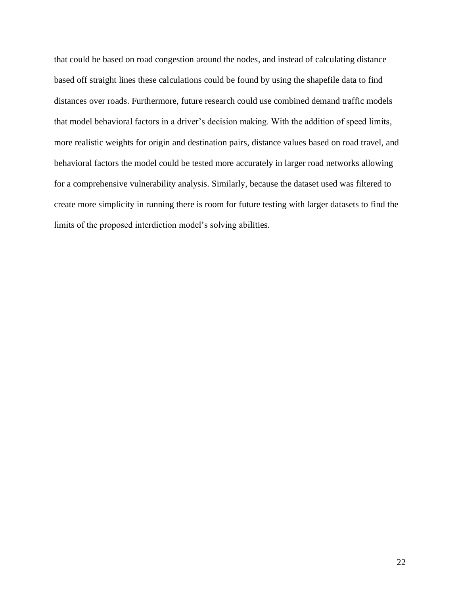that could be based on road congestion around the nodes, and instead of calculating distance based off straight lines these calculations could be found by using the shapefile data to find distances over roads. Furthermore, future research could use combined demand traffic models that model behavioral factors in a driver's decision making. With the addition of speed limits, more realistic weights for origin and destination pairs, distance values based on road travel, and behavioral factors the model could be tested more accurately in larger road networks allowing for a comprehensive vulnerability analysis. Similarly, because the dataset used was filtered to create more simplicity in running there is room for future testing with larger datasets to find the limits of the proposed interdiction model's solving abilities.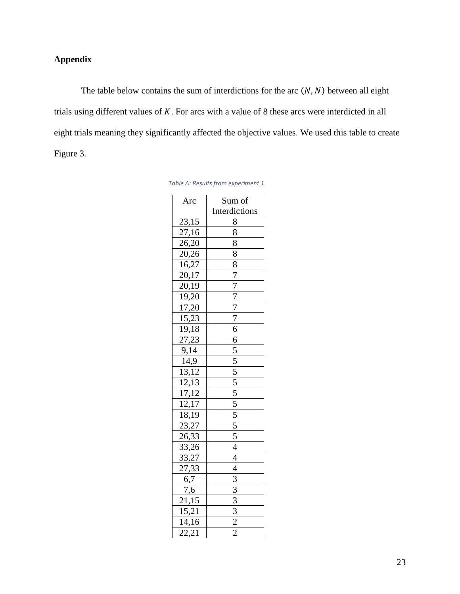# **Appendix**

The table below contains the sum of interdictions for the arc  $(N, N)$  between all eight trials using different values of  $K$ . For arcs with a value of 8 these arcs were interdicted in all eight trials meaning they significantly affected the objective values. We used this table to create Figure 3.

| Arc                   | Sum of                                                                                                                                                                                                                                                                    |
|-----------------------|---------------------------------------------------------------------------------------------------------------------------------------------------------------------------------------------------------------------------------------------------------------------------|
|                       | Interdictions                                                                                                                                                                                                                                                             |
| 23,15                 | 8                                                                                                                                                                                                                                                                         |
|                       |                                                                                                                                                                                                                                                                           |
| $\frac{27,16}{26,20}$ |                                                                                                                                                                                                                                                                           |
| 20,26                 |                                                                                                                                                                                                                                                                           |
| 16,27                 |                                                                                                                                                                                                                                                                           |
| 20,17                 |                                                                                                                                                                                                                                                                           |
| $\frac{1}{20,19}$     |                                                                                                                                                                                                                                                                           |
| 19,20                 |                                                                                                                                                                                                                                                                           |
| 17,20                 |                                                                                                                                                                                                                                                                           |
| 15,23                 |                                                                                                                                                                                                                                                                           |
| 19,18                 |                                                                                                                                                                                                                                                                           |
| $\overline{27,23}$    |                                                                                                                                                                                                                                                                           |
| 9,14                  |                                                                                                                                                                                                                                                                           |
| $\frac{1}{14,9}$      |                                                                                                                                                                                                                                                                           |
| 13,12                 |                                                                                                                                                                                                                                                                           |
| $\frac{12,13}{2}$     |                                                                                                                                                                                                                                                                           |
| 17,12                 |                                                                                                                                                                                                                                                                           |
| 12,17                 |                                                                                                                                                                                                                                                                           |
| $\frac{18,19}{x}$     |                                                                                                                                                                                                                                                                           |
| 23,27                 |                                                                                                                                                                                                                                                                           |
| <u>26,33</u>          |                                                                                                                                                                                                                                                                           |
| 33,26                 |                                                                                                                                                                                                                                                                           |
| 33,27                 |                                                                                                                                                                                                                                                                           |
| 27,33                 |                                                                                                                                                                                                                                                                           |
| 6,7                   | $\frac{8}{8}$ $\frac{8}{8}$ $\frac{8}{8}$ $\frac{8}{7}$ $\frac{7}{7}$ $\frac{7}{7}$ $\frac{7}{7}$ $\frac{6}{6}$ $\frac{6}{5}$ $\frac{5}{5}$ $\frac{5}{5}$ $\frac{5}{5}$ $\frac{5}{5}$ $\frac{5}{5}$ $\frac{5}{5}$ $\frac{4}{4}$ $\frac{4}{4}$ $\frac{3}{3}$ $\frac{3}{3}$ |
| 7,6                   |                                                                                                                                                                                                                                                                           |
| $\frac{21,15}{15,21}$ |                                                                                                                                                                                                                                                                           |
|                       |                                                                                                                                                                                                                                                                           |
| 14,16                 |                                                                                                                                                                                                                                                                           |
| $\overline{22,21}$    |                                                                                                                                                                                                                                                                           |

|  | Table A: Results from experiment 1 |  |
|--|------------------------------------|--|
|--|------------------------------------|--|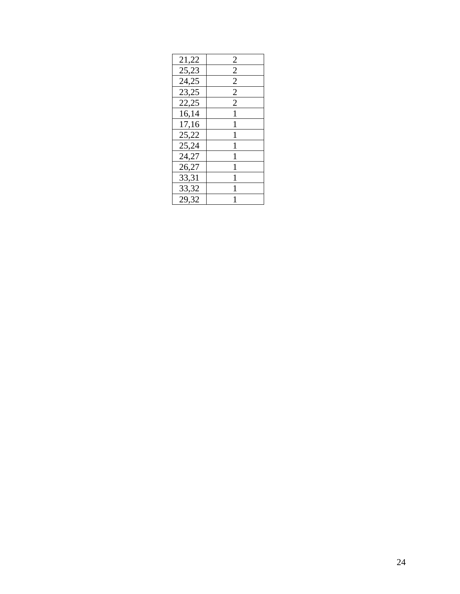| 21,22 | 2              |
|-------|----------------|
| 25,23 | $\overline{c}$ |
| 24,25 | $\overline{2}$ |
| 23,25 | 2              |
| 22,25 | $\overline{2}$ |
| 16,14 | 1              |
| 17,16 | 1              |
| 25,22 | 1              |
| 25,24 |                |
| 24,27 | 1              |
| 26,27 | 1              |
| 33,31 | 1              |
| 33,32 |                |
| 29,32 |                |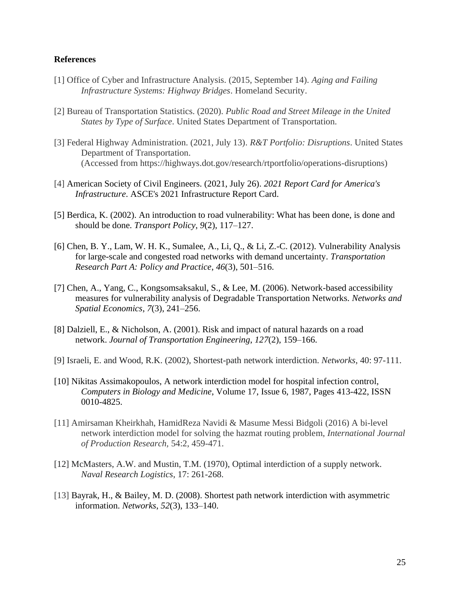#### **References**

- [1] Office of Cyber and Infrastructure Analysis. (2015, September 14). *Aging and Failing Infrastructure Systems: Highway Bridges*. Homeland Security.
- [2] Bureau of Transportation Statistics. (2020). *Public Road and Street Mileage in the United States by Type of Surface*. United States Department of Transportation.
- [3] Federal Highway Administration. (2021, July 13). *R&T Portfolio: Disruptions*. United States Department of Transportation. (Accessed from https://highways.dot.gov/research/rtportfolio/operations-disruptions)
- [4] American Society of Civil Engineers. (2021, July 26). *2021 Report Card for America's Infrastructure*. ASCE's 2021 Infrastructure Report Card.
- [5] Berdica, K. (2002). An introduction to road vulnerability: What has been done, is done and should be done. *Transport Policy*, *9*(2), 117–127.
- [6] Chen, B. Y., Lam, W. H. K., Sumalee, A., Li, Q., & Li, Z.-C. (2012). Vulnerability Analysis for large-scale and congested road networks with demand uncertainty. *Transportation Research Part A: Policy and Practice*, *46*(3), 501–516.
- [7] Chen, A., Yang, C., Kongsomsaksakul, S., & Lee, M. (2006). Network-based accessibility measures for vulnerability analysis of Degradable Transportation Networks. *Networks and Spatial Economics*, *7*(3), 241–256.
- [8] Dalziell, E., & Nicholson, A. (2001). Risk and impact of natural hazards on a road network. *Journal of Transportation Engineering*, *127*(2), 159–166.
- [9] Israeli, E. and Wood, R.K. (2002), Shortest-path network interdiction. *Networks*, 40: 97-111.
- [10] Nikitas Assimakopoulos, A network interdiction model for hospital infection control, *Computers in Biology and Medicine*, Volume 17, Issue 6, 1987, Pages 413-422, ISSN 0010-4825.
- [11] Amirsaman Kheirkhah, HamidReza Navidi & Masume Messi Bidgoli (2016) A bi-level network interdiction model for solving the hazmat routing problem, *International Journal of Production Research,* 54:2, 459-471.
- [12] McMasters, A.W. and Mustin, T.M. (1970), Optimal interdiction of a supply network. *Naval Research Logistics*, 17: 261-268.
- [13] Bayrak, H., & Bailey, M. D. (2008). Shortest path network interdiction with asymmetric information. *Networks*, *52*(3), 133–140.